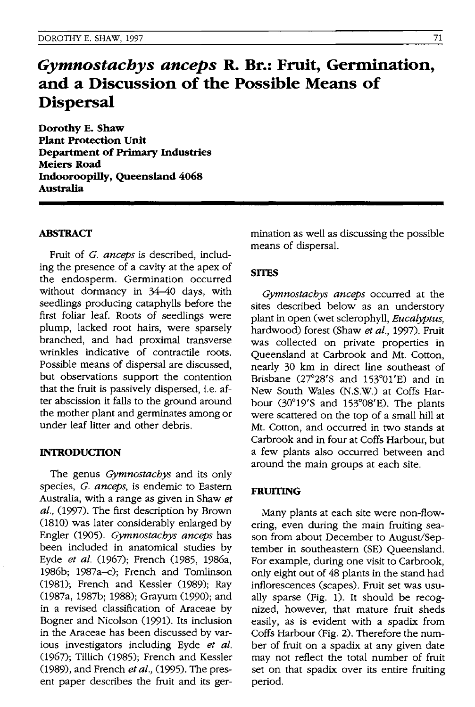# *Gymnostachys anceps* **R. Dr.: Fruit, Germination, and a Discussion of the Possible Means of Dispersal**

**Dorothy E. Shaw Plant Protection Unit Department of Primary Industries Meiers Road Indooroopilly, Queensland 4068 Australia** 

#### **ABSTRACf**

Fruit of *G. anceps* is described, including the presence of a cavity at the apex of the endosperm. Germination occurred without dormancy in 34-40 days, with seedlings producing cataphylls before the first foliar leaf. Roots of seedlings were plump, lacked root hairs, were sparsely branched, and had proximal transverse wrinkles indicative of contractile roots. Possible means of dispersal are discussed, but observations support the contention that the fruit is passively dispersed, i.e. after abscission it falls to the ground around the mother plant and germinates among or under leaf litter and other debris.

#### **INTRODUCTION**

The genus *Gymnostacbys* and its only species, *G. anceps,* is endemic to Eastern Australia, with a range as given in Shaw *et al.,* (1997). The first description by Brown (1810) was later considerably enlarged by Engler (1905). *Gymnostacbys anceps* has been included in anatomical studies by Eyde *et al.* (1967); French (1985, 1986a, 1986b; 1987a-c); French and Tomlinson (1981); French and Kessler (1989); Ray (1987a, 1987b; 1988); Grayum (1990); and in a revised classification of Araceae by Bogner and Nicolson (1991). Its inclusion in the Araceae has been discussed by various investigators including Eyde *et al.*  (1967); Tillich (1985); French and Kessler (1989), and French *et al.,* (1995). The present paper describes the fruit and its germination as well as discussing the possible means of dispersal.

## **SITES**

*Gymnostacbys anceps* occurred at the sites described below as an understory plant in open (wet sclerophyll, *Eucalyptus,*  hardwood) forest (Shaw *et al.,* 1997). Fruit was collected on private properties in Queensland at Carbrook and Mt. Cotton, nearly 30 km in direct line southeast of Brisbane (27°28'S and 153°01'E) and in New South Wales (N.S.W.) at Coffs Harbour  $(30^{\circ}19'$ S and  $153^{\circ}08'$ E). The plants were scattered on the top of a small hill at Mt. Cotton, and occurred in two stands at Carbrook and in four at Coffs Harbour, but a few plants also occurred between and around the main groups at each site.

#### **FRUITING**

Many plants at each site were non-flowering, even during the main fruiting season from about December to August/September in southeastern (SE) Queensland. For example, during one visit to Carbrook, only eight out of 48 plants in the stand had inflorescences (scapes). Fruit set was usually sparse (Fig. 1). It should be recognized, however, that mature fruit sheds easily, as is evident with a spadix from Coffs Harbour (Fig. 2). Therefore the number of fruit on a spadix at any given date may not reflect the total number of fruit set on that spadix over its entire fruiting period.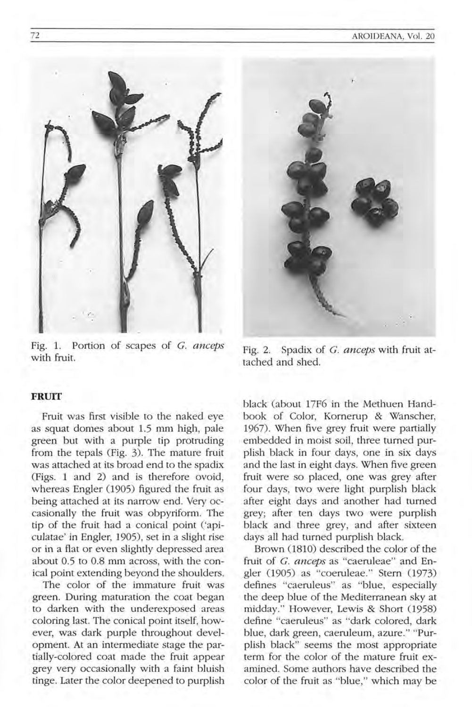

Fig. 1. Portion of scapes of C. *anceps*  with fruit.

#### **FRUIT**

Fruit was first visible to the naked eye as squat domes about 1.5 mm high, pale green but with a purple tip protruding from the tepals (Fig. 3). The mature fruit was attached at its broad end to the spadix (Figs. 1 and 2) and is therefore ovoid, whereas Engler (1905) figured the fruit as being attached at its narrow end. Very occasionally the fruit was obpyriform. The tip of the fruit had a conical point ('apiculatae' in Engler, 1905), set in a slight rise or in a flat or even slightly depressed area about 0.5 to 0.8 mm across, with the conical point extending beyond the shoulders.

The color of the immature fruit was green. During maturation the coat began to darken with the underexposed areas coloring last. The conical point itself, however, was dark purple throughout development. At an intermediate stage the partially-colored coat made the fruit appear grey very occasionally with a faint bluish tinge. Later the color deepened to purplish



black (about 17F6 in the Methuen Handbook of Color, Kornerup & Wanscher, 1967). When five grey fruit were partially embedded in moist soil, three turned purplish black in four days, one in six days and the last in eight days. When five green fruit were so placed, one was grey after four days, two were light purplish black after eight days and another had turned grey; after ten days two were purplish black and three grey, and after sixteen days all had turned purplish black.

Brown (1810) described the color of the fruit of C. *anceps* as "caeruleae" and Engler (1905) as "coeruleae." Stern (1973) defines "caeruleus" as "blue, especially the deep blue of the Mediterranean sky at midday." However, Lewis & Short (1958) define "caeruleus" as "dark colored, dark blue, dark green, caeruleum, azure. " "Purplish black" seems the most appropriate term for the color of the mature fruit examined. Some authors have described the color of the fruit as "blue," which may be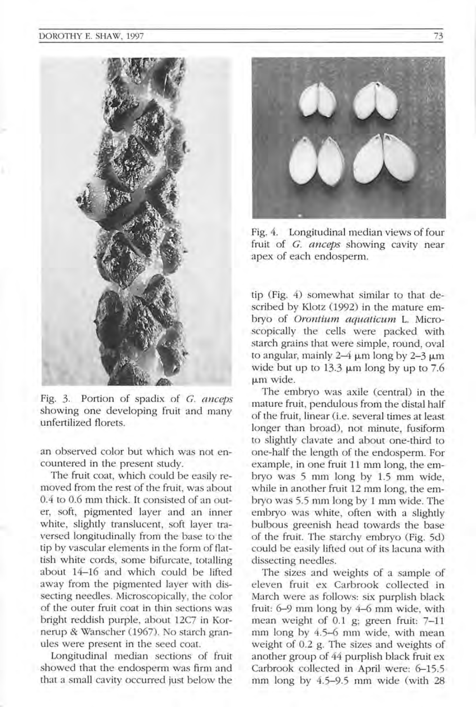

Fig. 3. Portion of spadix of C. *cmceps*  showing one developing fruit and many unfertilized florets.

an observed color but which was not encountered in the present study.

The fruit coat, which could be easily removed from the rest of the fruit, was about 0.4 to 0.6 mm thick. It consisted of an outer, soft, pigmented layer and an inner white, slightly translucent, soft layer traversed longitudinally from the base to the tip by vascular elements in the form of flattish white cords, some bifurcate, totalling about 14-16 and which could be lifted away from the pigmented layer with dissecting needles. Microscopically, the color of the outer fruit coat in thin sections was bright reddish purple, about 12C7 in Kornerup & Wanscher (1967). No starch granules were present in the seed coat.

Longitudinal median sections of fruit showed that the endosperm was firm and that a small cavity occurred just below the



Fig. 4. Longitudinal median views of four fruit of C. *anceps* showing cavity near apex of each endosperm.

tip (Fig. 4) somewhat similar to that described by Klotz (1992) in the mature embryo of *Orontium aquaticum* L. Microscopically the cells were packed with starch grains that were simple, round, oval to angular, mainly  $2-4 \mu m$  long by  $2-3 \mu m$ wide but up to  $13.3 \mu m$  long by up to 7.6 um wide.

The embryo was axile (central) in the mature fruit, pendulous from the distal half of the fruit, linear (i.e. several times at least longer than broad), not minute, fusiform to slightly clavate and about one-third to one-half the length of the endosperm. For example, in one fruit 11 mm long, the embryo was 5 mm long by 1.5 mm wide, while in another fruit 12 mm long, the embryo was 5.5 mm long by 1 mm wide. The embryo was white, often with a slightly bulbous greenish head towards the base of the fruit. The starchy embryo (Fig. 5d) could be easily lifted out of its lacuna with dissecting needles.

The sizes and weights of a sample of eleven fruit ex Carbrook collected in March were as follows: six purplish black fruit: 6-9 mm long by 4-6 mm wide, with mean weight of 0.1 g; green fruit: 7-11 mm long by 4.5-6 mm wide, with mean weight of 0.2 g. The sizes and weights of another group of 44 purplish black fruit ex Carbrook collected in April were: 6-15.5 mm long by  $4.5-9.5$  mm wide (with 28)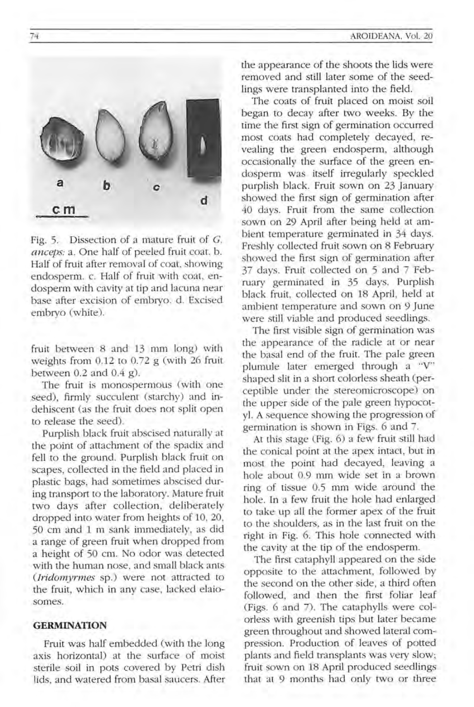

Fig. 5. Dissection of a mature fruit of *C. anceps:* a. One half of peeled fruit coat. b. Half of fruit after removal of coat, showing endosperm. c. Half of fruit with coat. endosperm with cavity at tip and lacuna near base after excision of embryo. d. Excised embryo (white).

fruit between 8 and 13 mm long) with weights from 0.12 to 0.72 g (with 26 fruit between  $0.2$  and  $0.4$  g).

The fruit is monospermous (with one seed), firmly succulent (starchy) and indehiscent (as the fruit does not split open to release the seed).

Purplish black fruit abscised naturally at the point of attachment of the spadix and fell to the ground. Purplish black fruit on scapes, collected in the field and placed in plastic bags, had sometimes abscised during transport to the laboratory. Mature fruit two days after collection, deliberately dropped into water from heights of 10, 20, 50 cm and 1 m sank immediately, as did a range of green fruit when dropped from a height of 50 cm. No odor was detected with the human nose, and small black ants *(Iridomyrmes sp.)* were not attracted to the fruit, which in any case, lacked elaiosomes.

# **GERMINATION**

Fruit was half embedded (with the long axis horizontal) at the surface of moist sterile soil in pots covered by Petri dish lids, and watered from basal saucers. After the appearance of the shoots the lids were removed and still later some of the seedlings were transplanted into the field.

The coats of fruit placed on moist soil began to decay after two weeks. By the time the first sign of germination occurred most coats had completely decayed, revealing the green endosperm, although occasionally the surface of the green endosperm was itself irregularly speckled purplish black. Fruit sown on 23 January showed the first sign of germination after 40 days. Fruit from the same collection sown on 29 April after being held at ambient temperature germinated in 34 days. Freshly collected fruit sown on 8 February showed the first sign of germination after 37 days. Fruit collected on 5 and 7 February germinated in 35 days. Purplish black fruit, collected on 18 April, held at ambient temperature and sown on 9 June were still viable and produced seedlings.

The first visible sign of germination was the appearance of the radicle at or near the basal end of the fruit. The pale green plumule later emerged through a "V" shaped slit in a short colorless sheath (perceptible under the stereomicroscope) on the upper side of the pale green hypocotyl. A sequence showing the progression of germination is shown in Figs. 6 and 7.

At this stage (Fig. 6) a few fruit still had the conical point at the apex intact, but in most the point had decayed, leaving a hole about 0.9 mm wide set in a brown ring of tissue 0.5 mm wide around the hole. In a few fruit the hole had enlarged to take up all the former apex of the fruit to the shoulders, as in the last fruit on the right in Fig. 6. This hole connected with the cavity at the tip of the endosperm.

The first cataphyll appeared on the side opposite to the attachment, followed by the second on the other side, a third often followed, and then the first foliar leaf (Figs. 6 and 7). The cataphylls were colorless with greenish tips but later became green throughout and showed lateral compression. Production of leaves of potted plants and field transplants was very slow; fruit sown on 18 April produced seedlings that at 9 months had only two or three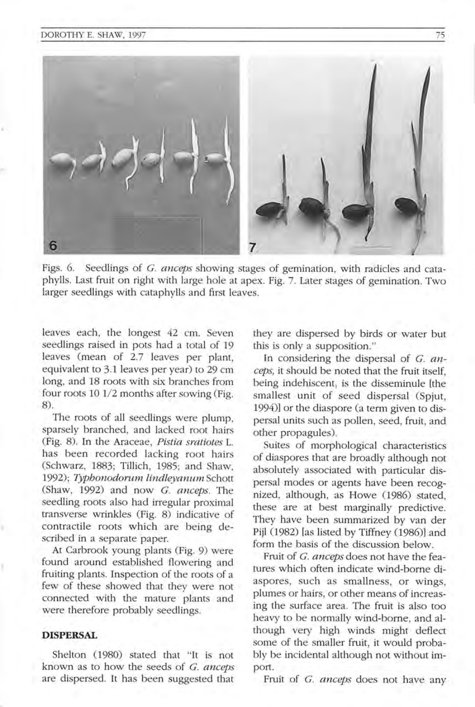

Figs. 6. Seedlings of G. anceps showing stages of gemination, with radicles and cataphylls. Last fruit on right with large hole at apex. Fig. 7. Later stages of gemination. Two larger seedlings with cataphylls and first leaves.

leaves each, the longest 42 cm. Seven seedlings raised in pots had a total of 19 leaves (mean of 2.7 leaves per plant, equivalent to 3.1 leaves per year) to 29 cm long, and 18 roots with six branches from four roots 10 1/2 months after sowing (Fig. 8).

The roots of all seedlings were plump, sparsely branched, and lacked root hairs (Fig. 8). **In** the Araceae, *Pistia sratiotes* L. has been recorded lacking root hairs (Schwarz, 1883; Tillich, 1985; and Shaw, *1992); Typhonodorum lindleyanum* Schott (Shaw, 1992) and now C. *anceps.* The seedling roots also had irregular proximal transverse wrinkles (Fig. 8) indicative of contractile roots which are being described in a separate paper.

At Carbrook young plants (Fig. 9) were found around established flowering and fruiting plants. Inspection of the roots of a few of these showed that they were not connected with the mature plants and were therefore probably seedlings.

#### **DISPERSAL**

Shelton (1980) stated that "It is not known as to how the seeds of C. *anceps*  are dispersed. It has been suggested that

they are dispersed by birds or water but this is only a supposition ."

In considering the dispersal of G. anceps, it should be noted that the fruit itself. being indehiscent, is the disseminule [the smallest unit of seed dispersal (Spjut, 1994)] or the diaspore (a term given to dispersal units such as pollen, seed, fruit, and other propagules).

Suites of morphological characteristics of diaspores that are broadly although not absolutely associated with particular dispersal modes or agents have been recognized, although, as Howe (1986) stated. these are at best marginally predictive. They have been summarized by van der Pijl (1982) [as listed by Tiffney (1986)] and form the basis of the discussion below.

Fruit of C. *anceps* does not have the features which often indicate wind-borne diaspores, such as smallness, or wings, plumes or hairs, or other means of increasing the surface area. The fruit is also too heavy to be normally wind-borne, and although very high winds might deflect some of the smaller fruit, it would probably be incidental although not without import.

Fruit of C. *anceps* does not have any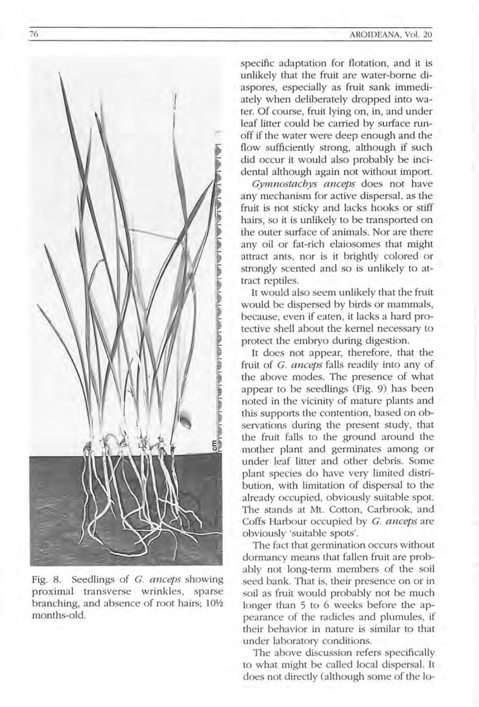

Fig. 8. Seedlings of *C. anceps* showing proximal transverse wrinkles, sparse branching, and absence of root hairs; 10½ months-old.

specific adaptation for flotation, and it is unlikely that the fruit are water-borne diaspores, especially as fruit sank immediately when deliberately dropped into water. Of course, fruit lying on, in, and under leaf litter could be carried by surface runoff if the water were deep enough and the flow sufficiently strong, although if such did occur it would also probably be incidental although again not without import.

*Cymnostachys anceps* does not have any mechanism for active dispersal, as the fruit is not sticky and lacks hooks or stiff hairs, so it is unlikely to be transported on the outer surface of animals. Nor are there any oil or fat-rich elaiosomes that might attract ants, nor is it brightly colored or strongly scented and so is unlikely to attract reptiles.

It would also seem unlikely that the fruit would be dispersed by birds or mammals, because, even if eaten, it lacks a hard protective shell about the kernel necessary to protect the embryo during digestion.

It does not appear, therefore, that the fruit of *C. anceps* falls readily into any of the above modes. The presence of what appear to be seedlings (Fig. 9) has been noted in the vicinity of mature plants and this supports the contention, based on observations during the present study, that the fruit falls to the ground around the mother plant and germinates among or under leaf litter and other debris. Some plant species do have very limited distribution, with limitation of dispersal to the already occupied, obviously suitable spot. The stands at Mt. Cotton, Carbrook, and Coffs Harbour occupied by *C. anceps* are obviously 'suitable spots'.

The fact that germination occurs without dormancy means that fallen fruit are probably not long-term members of the soil seed bank. That is, their presence on or in soil as fruit would probably not be much longer than 5 to 6 weeks before the appearance of the radicles and plumules, if their behavior in nature is similar to that under laboratory conditions.

The above discussion refers specifically to what might be called local dispersal. **It**  does not directly (although some of the lo-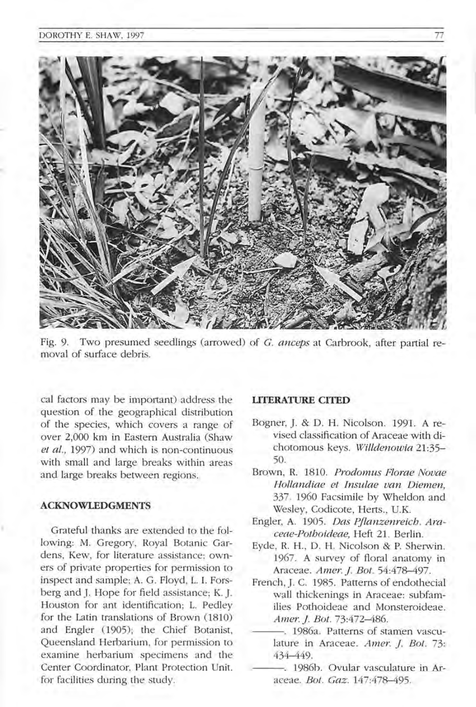

Fig. 9. Two presumed seedlings (arrowed) of G. *anceps* at Carbrook, after partial removal of surface debris.

cal factors may be important) address the question of the geographical distribution of the species, which covers a range of over 2,000 km in Eastern Australia (Shaw *et al.*, 1997) and which is non-continuous with small and large breaks within areas and large breaks between regions.

#### **ACKNOWLEDGMENTS**

Grateful thanks are extended to the following: M. Gregory, Royal Botanic Gardens, Kew, for literature assistance; owners of private properties for permission to inspect and sample; A. G. Floyd, L. I. Forsberg and J. Hope for field assistance; K. J. Houston for ant identification; L. Pedley for the Latin translations of Brown (1810) and Engler (1905); the Chief Botanist, Queensland Herbarium, for permission to examine herbarium specimens and the Center Coordinator, Plant Protection Unit, for facilities during the study.

## **UTERATURE CITED**

- Bogner, J. & D. H. Nicolson. 1991. A revised classification of Araceae with dichotomous keys. *Willdenowia 21:35-* 50.
- Brown, R. 1810. *Prodomus Florae Novae Hollandiae et Insulae van Diemen,*  337 1960 Facsimile by Whe1don and Wesley, Codicote, Herts., U.K.
- Engler, A. 1905. *Das Pjlanzenreich. Araceae-Pothoideae,* Heft 21. Berlin .
- Eyde, R. H., D. H. Nicolson & P. Sherwin. 1967. A survey of floral anatomy in Araceae . *A mer.* I *Bot. 54:478-497.*
- French, J. C. 1985. Patterns of endothecial wall thickenings in Araceae: subfamilies Pothoideae and Monsteroideae. *Amer. 1. Bot.* 73:472-486.
- --- . 1986a. Patterns of stamen vasculature in Araceae. *Amer. J. Bot.* 73: 434-449.
- -. 1986b. Ovular vasculature in Araceae. *Bot. Gaz. 147:478-495 .*